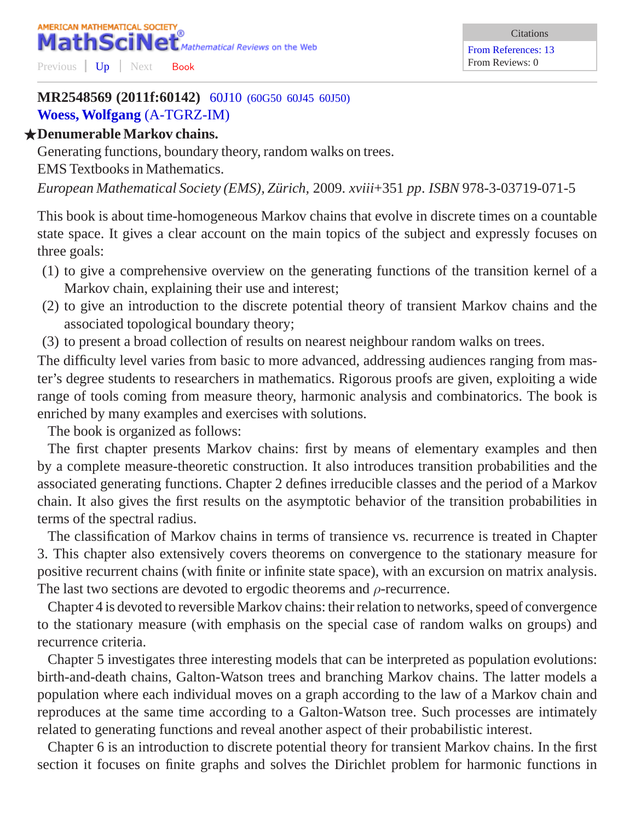## **MR2548569 (2011f:60142)** 60J10 [\(60G50 60J45 60J50\)](http://www.ams.org/mathscinet/search/mscdoc.html?code=60J10%2C%2860G50%2C60J45%2C60J50%29) **[Woess, Wolfgang](http://www.ams.org/mathscinet/search/publications.html?pg1=IID&s1=183935)** [\(A-TGRZ-IM\)](http://www.ams.org/mathscinet/search/institution.html?code=A_TGRZ_IM)

## F**Denumerable Markov chains.**

Generating functions, boundary theory, random walks on trees. EMS Textbooks in Mathematics. *European Mathematical Society (EMS), Zurich, ¨* 2009. *xviii*+351 *pp*. *ISBN* 978-3-03719-071-5

This book is about time-homogeneous Markov chains that evolve in discrete times on a countable state space. It gives a clear account on the main topics of the subject and expressly focuses on three goals:

- (1) to give a comprehensive overview on the generating functions of the transition kernel of a Markov chain, explaining their use and interest;
- (2) to give an introduction to the discrete potential theory of transient Markov chains and the associated topological boundary theory;
- (3) to present a broad collection of results on nearest neighbour random walks on trees.

The difficulty level varies from basic to more advanced, addressing audiences ranging from master's degree students to researchers in mathematics. Rigorous proofs are given, exploiting a wide range of tools coming from measure theory, harmonic analysis and combinatorics. The book is enriched by many examples and exercises with solutions.

The book is organized as follows:

The first chapter presents Markov chains: first by means of elementary examples and then by a complete measure-theoretic construction. It also introduces transition probabilities and the associated generating functions. Chapter 2 defines irreducible classes and the period of a Markov chain. It also gives the first results on the asymptotic behavior of the transition probabilities in terms of the spectral radius.

The classification of Markov chains in terms of transience vs. recurrence is treated in Chapter 3. This chapter also extensively covers theorems on convergence to the stationary measure for positive recurrent chains (with finite or infinite state space), with an excursion on matrix analysis. The last two sections are devoted to ergodic theorems and  $\rho$ -recurrence.

Chapter 4 is devoted to reversible Markov chains: their relation to networks, speed of convergence to the stationary measure (with emphasis on the special case of random walks on groups) and recurrence criteria.

Chapter 5 investigates three interesting models that can be interpreted as population evolutions: birth-and-death chains, Galton-Watson trees and branching Markov chains. The latter models a population where each individual moves on a graph according to the law of a Markov chain and reproduces at the same time according to a Galton-Watson tree. Such processes are intimately related to generating functions and reveal another aspect of their probabilistic interest.

Chapter 6 is an introduction to discrete potential theory for transient Markov chains. In the first section it focuses on finite graphs and solves the Dirichlet problem for harmonic functions in